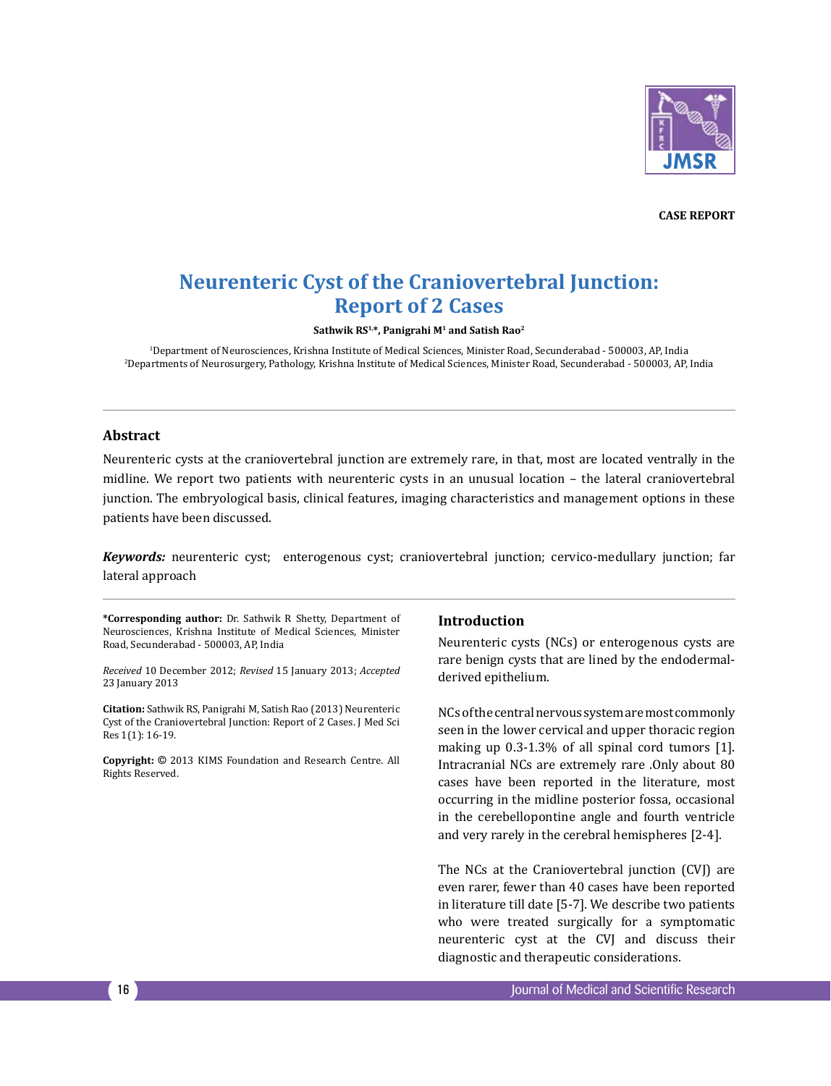

**Case Report**

# **Neurenteric Cyst of the Craniovertebral Junction: Report of 2 Cases**

**Sathwik RS1,\*, Panigrahi M1 and Satish Rao2**

<sup>1</sup>Department of Neurosciences, Krishna Institute of Medical Sciences, Minister Road, Secunderabad - 500003, AP, India Department of Neurosciences, Krishna Institute of Medical Sciences, Minister Road, Secunderabad - 500003, AP, India<br>Departments of Neurosurgery, Pathology, Krishna Institute of Medical Sciences, Minister Road, Secunderabad

## **Abstract**

Neurenteric cysts at the craniovertebral junction are extremely rare, in that, most are located ventrally in the midline. We report two patients with neurenteric cysts in an unusual location – the lateral craniovertebral junction. The embryological basis, clinical features, imaging characteristics and management options in these patients have been discussed.

*Keywords:* neurenteric cyst; enterogenous cyst; craniovertebral junction; cervico-medullary junction; far lateral approach

**\*Corresponding author:** Dr. Sathwik R Shetty, Department of Neurosciences, Krishna Institute of Medical Sciences, Minister Road, Secunderabad - 500003, AP, India

*Received* 10 December 2012; *Revised* 15 January 2013; *Accepted*  23 January 2013

**Citation:** Sathwik RS, Panigrahi M, Satish Rao (2013) Neurenteric Cyst of the Craniovertebral Junction: Report of 2 Cases. J Med Sci Res 1(1): 16-19.

**Copyright:** © 2013 KIMS Foundation and Research Centre. All Rights Reserved.

# **Introduction**

Neurenteric cysts (NCs) or enterogenous cysts are rare benign cysts that are lined by the endodermalderived epithelium.

NCs of the central nervous system are most commonly seen in the lower cervical and upper thoracic region making up 0.3-1.3% of all spinal cord tumors [1]. Intracranial NCs are extremely rare .Only about 80 cases have been reported in the literature, most occurring in the midline posterior fossa, occasional in the cerebellopontine angle and fourth ventricle and very rarely in the cerebral hemispheres [2-4].

The NCs at the Craniovertebral junction (CVJ) are even rarer, fewer than 40 cases have been reported in literature till date [5-7]. We describe two patients who were treated surgically for a symptomatic neurenteric cyst at the CVJ and discuss their diagnostic and therapeutic considerations.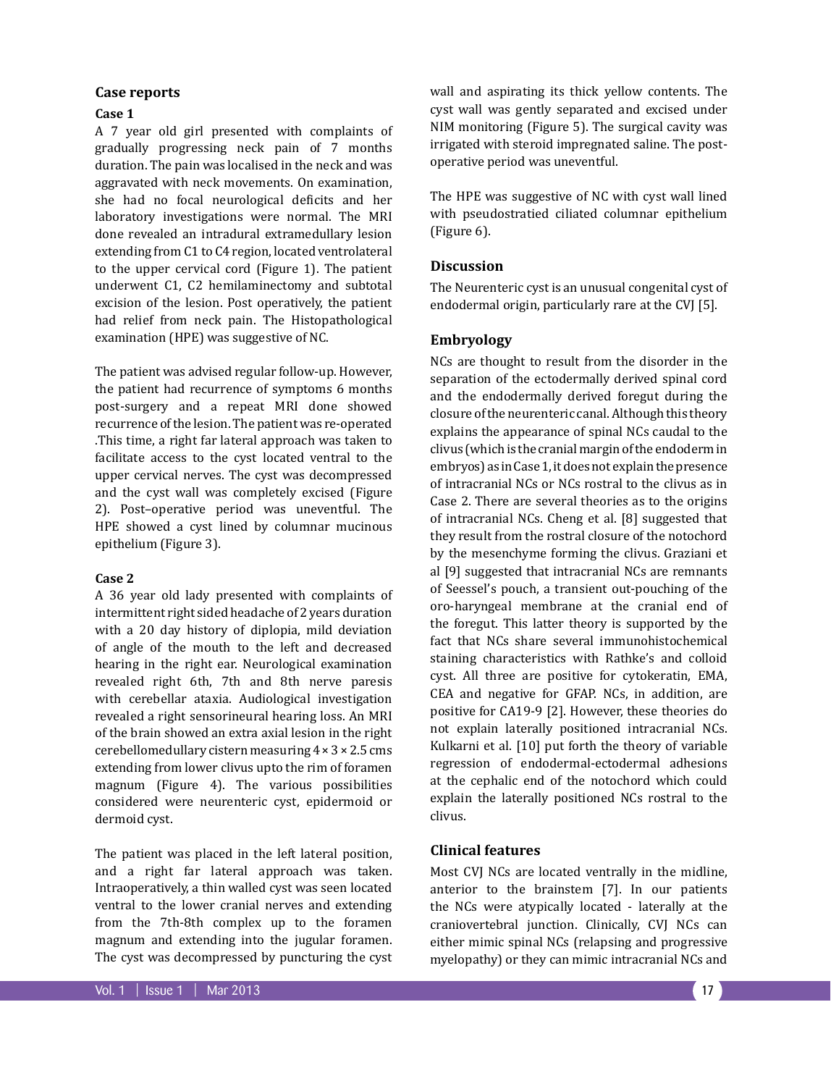#### **Case reports**

# **Case 1**

A 7 year old girl presented with complaints of gradually progressing neck pain of 7 months duration. The pain was localised in the neck and was aggravated with neck movements. On examination, she had no focal neurological deficits and her laboratory investigations were normal. The MRI done revealed an intradural extramedullary lesion extending from C1 to C4 region, located ventrolateral to the upper cervical cord (Figure 1). The patient underwent C1, C2 hemilaminectomy and subtotal excision of the lesion. Post operatively, the patient had relief from neck pain. The Histopathological examination (HPE) was suggestive of NC.

The patient was advised regular follow-up. However, the patient had recurrence of symptoms 6 months post-surgery and a repeat MRI done showed recurrence of the lesion. The patient was re-operated .This time, a right far lateral approach was taken to facilitate access to the cyst located ventral to the upper cervical nerves. The cyst was decompressed and the cyst wall was completely excised (Figure 2). Post–operative period was uneventful. The HPE showed a cyst lined by columnar mucinous epithelium (Figure 3).

#### **Case 2**

A 36 year old lady presented with complaints of intermittent right sided headache of 2 years duration with a 20 day history of diplopia, mild deviation of angle of the mouth to the left and decreased hearing in the right ear. Neurological examination revealed right 6th, 7th and 8th nerve paresis with cerebellar ataxia. Audiological investigation revealed a right sensorineural hearing loss. An MRI of the brain showed an extra axial lesion in the right cerebellomedullary cistern measuring 4 × 3 × 2.5 cms extending from lower clivus upto the rim of foramen magnum (Figure 4). The various possibilities considered were neurenteric cyst, epidermoid or dermoid cyst.

The patient was placed in the left lateral position, and a right far lateral approach was taken. Intraoperatively, a thin walled cyst was seen located ventral to the lower cranial nerves and extending from the 7th-8th complex up to the foramen magnum and extending into the jugular foramen. The cyst was decompressed by puncturing the cyst

wall and aspirating its thick yellow contents. The cyst wall was gently separated and excised under NIM monitoring (Figure 5). The surgical cavity was irrigated with steroid impregnated saline. The postoperative period was uneventful.

The HPE was suggestive of NC with cyst wall lined with pseudostratied ciliated columnar epithelium (Figure 6).

## **Discussion**

The Neurenteric cyst is an unusual congenital cyst of endodermal origin, particularly rare at the CVJ [5].

#### **Embryology**

NCs are thought to result from the disorder in the separation of the ectodermally derived spinal cord and the endodermally derived foregut during the closure of the neurenteric canal. Although this theory explains the appearance of spinal NCs caudal to the clivus (which is the cranial margin of the endoderm in embryos) as in Case 1, it does not explain the presence of intracranial NCs or NCs rostral to the clivus as in Case 2. There are several theories as to the origins of intracranial NCs. Cheng et al. [8] suggested that they result from the rostral closure of the notochord by the mesenchyme forming the clivus. Graziani et al [9] suggested that intracranial NCs are remnants of Seessel's pouch, a transient out-pouching of the oro-haryngeal membrane at the cranial end of the foregut. This latter theory is supported by the fact that NCs share several immunohistochemical staining characteristics with Rathke's and colloid cyst. All three are positive for cytokeratin, EMA, CEA and negative for GFAP. NCs, in addition, are positive for CA19-9 [2]. However, these theories do not explain laterally positioned intracranial NCs. Kulkarni et al. [10] put forth the theory of variable regression of endodermal-ectodermal adhesions at the cephalic end of the notochord which could explain the laterally positioned NCs rostral to the clivus.

#### **Clinical features**

Most CVJ NCs are located ventrally in the midline, anterior to the brainstem [7]. In our patients the NCs were atypically located - laterally at the craniovertebral junction. Clinically, CVJ NCs can either mimic spinal NCs (relapsing and progressive myelopathy) or they can mimic intracranial NCs and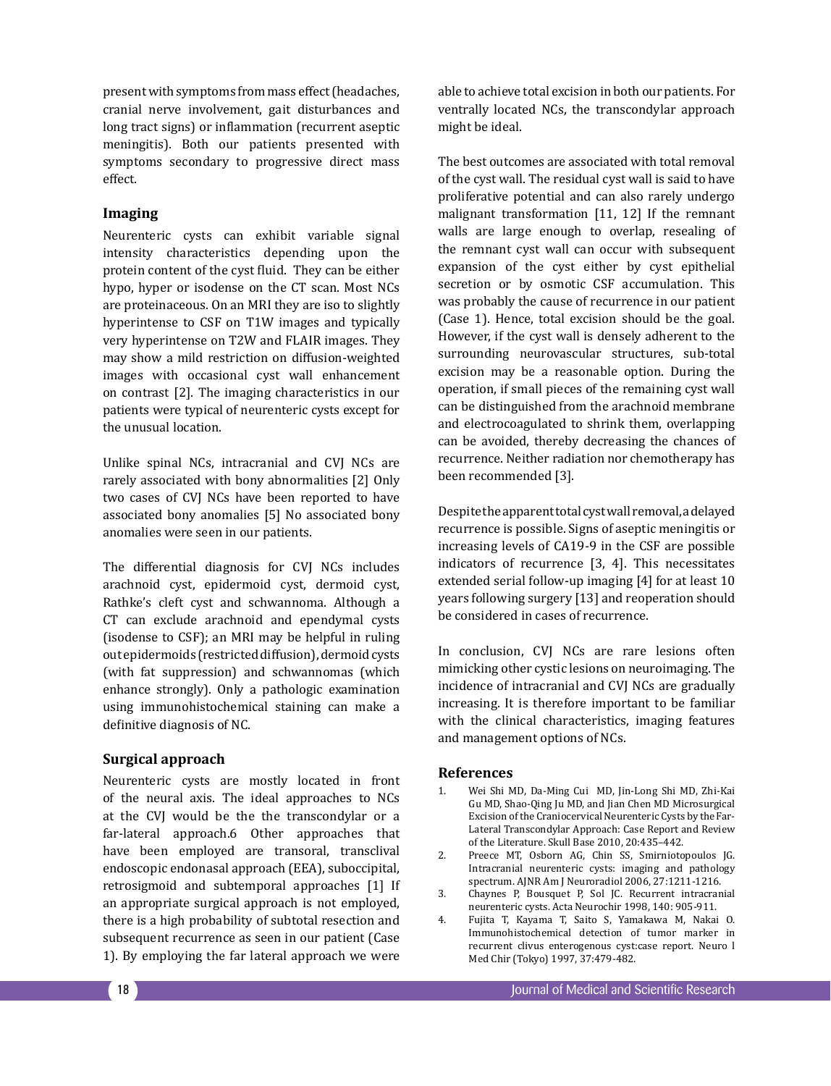present with symptoms from mass effect (headaches, cranial nerve involvement, gait disturbances and long tract signs) or inflammation (recurrent aseptic meningitis). Both our patients presented with symptoms secondary to progressive direct mass effect.

# **Imaging**

Neurenteric cysts can exhibit variable signal intensity characteristics depending upon the protein content of the cyst fluid. They can be either hypo, hyper or isodense on the CT scan. Most NCs are proteinaceous. On an MRI they are iso to slightly hyperintense to CSF on T1W images and typically very hyperintense on T2W and FLAIR images. They may show a mild restriction on diffusion-weighted images with occasional cyst wall enhancement on contrast [2]. The imaging characteristics in our patients were typical of neurenteric cysts except for the unusual location.

Unlike spinal NCs, intracranial and CVJ NCs are rarely associated with bony abnormalities [2] Only two cases of CVJ NCs have been reported to have associated bony anomalies [5] No associated bony anomalies were seen in our patients.

The differential diagnosis for CVJ NCs includes arachnoid cyst, epidermoid cyst, dermoid cyst, Rathke's cleft cyst and schwannoma. Although a CT can exclude arachnoid and ependymal cysts (isodense to CSF); an MRI may be helpful in ruling out epidermoids (restricted diffusion), dermoid cysts (with fat suppression) and schwannomas (which enhance strongly). Only a pathologic examination using immunohistochemical staining can make a definitive diagnosis of NC.

# **Surgical approach**

Neurenteric cysts are mostly located in front of the neural axis. The ideal approaches to NCs at the CVJ would be the the transcondylar or a far-lateral approach.6 Other approaches that have been employed are transoral, transclival endoscopic endonasal approach (EEA), suboccipital, retrosigmoid and subtemporal approaches [1] If an appropriate surgical approach is not employed, there is a high probability of subtotal resection and subsequent recurrence as seen in our patient (Case 1). By employing the far lateral approach we were

able to achieve total excision in both our patients. For ventrally located NCs, the transcondylar approach might be ideal.

The best outcomes are associated with total removal of the cyst wall. The residual cyst wall is said to have proliferative potential and can also rarely undergo malignant transformation [11, 12] If the remnant walls are large enough to overlap, resealing of the remnant cyst wall can occur with subsequent expansion of the cyst either by cyst epithelial secretion or by osmotic CSF accumulation. This was probably the cause of recurrence in our patient (Case 1). Hence, total excision should be the goal. However, if the cyst wall is densely adherent to the surrounding neurovascular structures, sub-total excision may be a reasonable option. During the operation, if small pieces of the remaining cyst wall can be distinguished from the arachnoid membrane and electrocoagulated to shrink them, overlapping can be avoided, thereby decreasing the chances of recurrence. Neither radiation nor chemotherapy has been recommended [3].

Despite the apparent total cyst wall removal, a delayed recurrence is possible. Signs of aseptic meningitis or increasing levels of CA19-9 in the CSF are possible indicators of recurrence [3, 4]. This necessitates extended serial follow-up imaging [4] for at least 10 years following surgery [13] and reoperation should be considered in cases of recurrence.

In conclusion, CVJ NCs are rare lesions often mimicking other cystic lesions on neuroimaging. The incidence of intracranial and CVJ NCs are gradually increasing. It is therefore important to be familiar with the clinical characteristics, imaging features and management options of NCs.

# **References**

- 1. Wei Shi MD, Da-Ming Cui MD, Jin-Long Shi MD, Zhi-Kai Gu MD, Shao-Qing Ju MD, and Jian Chen MD Microsurgical Excision of the Craniocervical Neurenteric Cysts by the Far-Lateral Transcondylar Approach: Case Report and Review of the Literature. Skull Base 2010, 20:435–442.
- 2. Preece MT, Osborn AG, Chin SS, Smirniotopoulos JG. Intracranial neurenteric cysts: imaging and pathology spectrum. AJNR Am J Neuroradiol 2006, 27:1211-1216.
- 3. Chaynes P, Bousquet P, Sol JC. Recurrent intracranial neurenteric cysts. Acta Neurochir 1998, 140: 905-911.
- 4. Fujita T, Kayama T, Saito S, Yamakawa M, Nakai O. Immunohistochemical detection of tumor marker in recurrent clivus enterogenous cyst:case report. Neuro l Med Chir (Tokyo) 1997, 37:479-482.